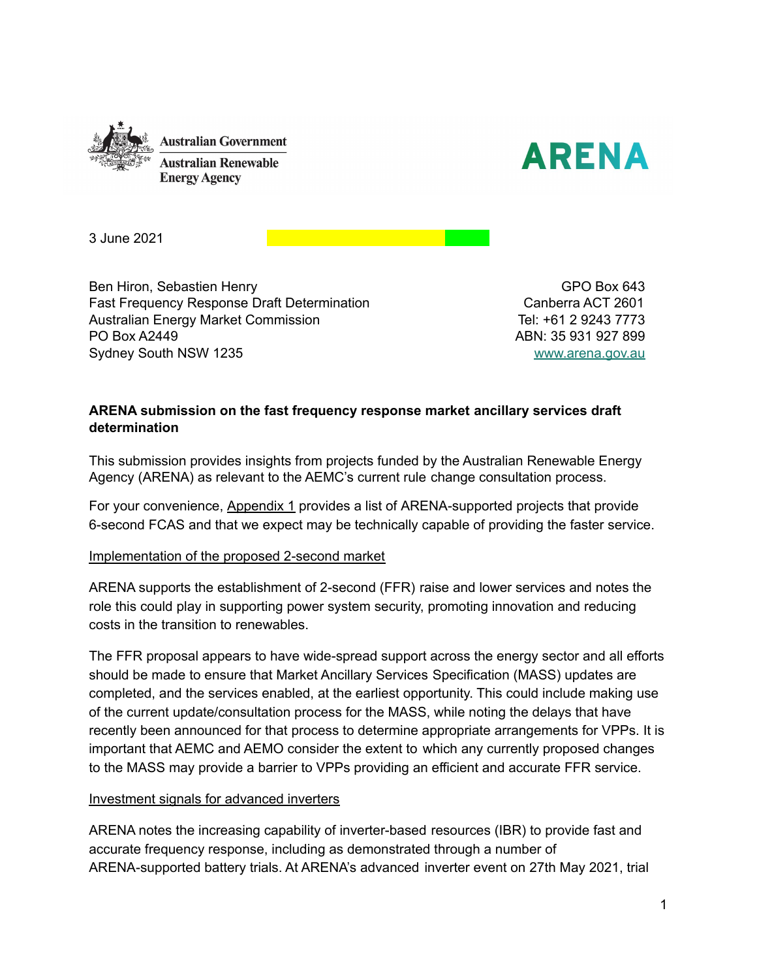



3 June 2021

Ben Hiron, Sebastien Henry Fast Frequency Response Draft Determination Australian Energy Market Commission PO Box A2449 Sydney South NSW 1235

GPO Box 643 Canberra ACT 2601 Tel: +61 2 9243 7773 ABN: 35 931 927 899 [www.arena.gov.au](http://www.arena.gov.au)

### **ARENA submission on the fast frequency response market ancillary services draft determination**

This submission provides insights from projects funded by the Australian Renewable Energy Agency (ARENA) as relevant to the AEMC's current rule change consultation process.

For your convenience, Appendix 1 provides a list of ARENA-supported projects that provide 6-second FCAS and that we expect may be technically capable of providing the faster service.

#### Implementation of the proposed 2-second market

ARENA supports the establishment of 2-second (FFR) raise and lower services and notes the role this could play in supporting power system security, promoting innovation and reducing costs in the transition to renewables.

The FFR proposal appears to have wide-spread support across the energy sector and all efforts should be made to ensure that Market Ancillary Services Specification (MASS) updates are completed, and the services enabled, at the earliest opportunity. This could include making use of the current update/consultation process for the MASS, while noting the delays that have recently been announced for that process to determine appropriate arrangements for VPPs. It is important that AEMC and AEMO consider the extent to which any currently proposed changes to the MASS may provide a barrier to VPPs providing an efficient and accurate FFR service.

#### Investment signals for advanced inverters

ARENA notes the increasing capability of inverter-based resources (IBR) to provide fast and accurate frequency response, including as demonstrated through a number of ARENA-supported battery trials. At ARENA's advanced inverter event on 27th May 2021, trial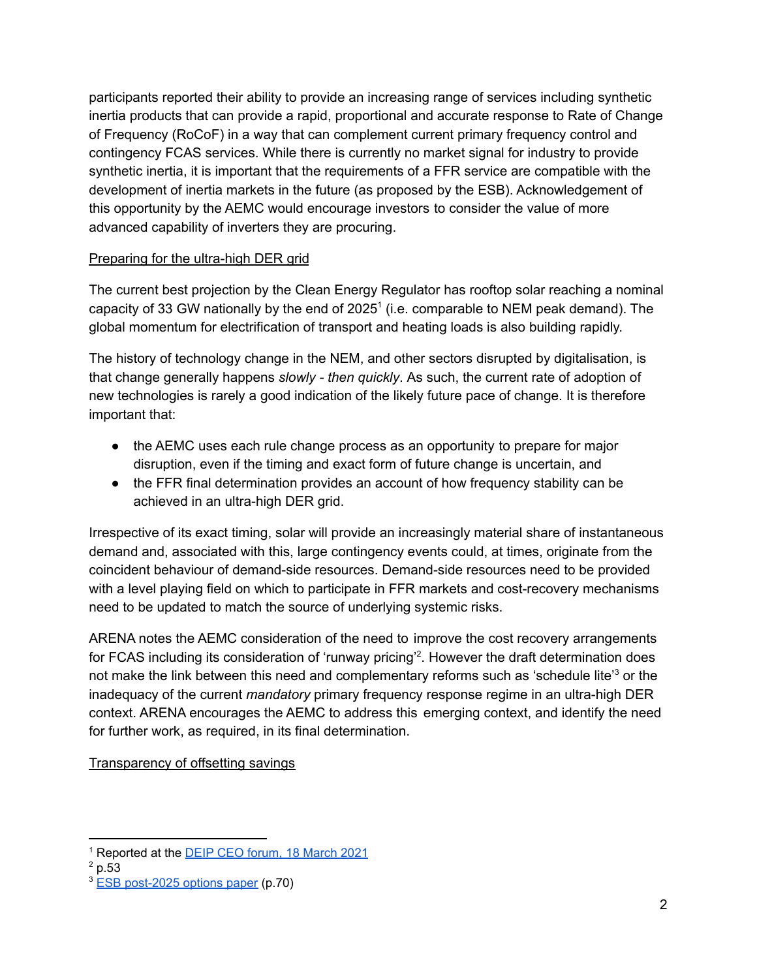participants reported their ability to provide an increasing range of services including synthetic inertia products that can provide a rapid, proportional and accurate response to Rate of Change of Frequency (RoCoF) in a way that can complement current primary frequency control and contingency FCAS services. While there is currently no market signal for industry to provide synthetic inertia, it is important that the requirements of a FFR service are compatible with the development of inertia markets in the future (as proposed by the ESB). Acknowledgement of this opportunity by the AEMC would encourage investors to consider the value of more advanced capability of inverters they are procuring.

## Preparing for the ultra-high DER grid

The current best projection by the Clean Energy Regulator has rooftop solar reaching a nominal capacity of 33 GW nationally by the end of  $2025<sup>1</sup>$  (i.e. comparable to NEM peak demand). The global momentum for electrification of transport and heating loads is also building rapidly.

The history of technology change in the NEM, and other sectors disrupted by digitalisation, is that change generally happens *slowly - then quickly*. As such, the current rate of adoption of new technologies is rarely a good indication of the likely future pace of change. It is therefore important that:

- the AEMC uses each rule change process as an opportunity to prepare for major disruption, even if the timing and exact form of future change is uncertain, and
- the FFR final determination provides an account of how frequency stability can be achieved in an ultra-high DER grid.

Irrespective of its exact timing, solar will provide an increasingly material share of instantaneous demand and, associated with this, large contingency events could, at times, originate from the coincident behaviour of demand-side resources. Demand-side resources need to be provided with a level playing field on which to participate in FFR markets and cost-recovery mechanisms need to be updated to match the source of underlying systemic risks.

ARENA notes the AEMC consideration of the need to improve the cost recovery arrangements for FCAS including its consideration of 'runway pricing'<sup>2</sup>. However the draft determination does not make the link between this need and complementary reforms such as 'schedule lite'<sup>3</sup> or the inadequacy of the current *mandatory* primary frequency response regime in an ultra-high DER context. ARENA encourages the AEMC to address this emerging context, and identify the need for further work, as required, in its final determination.

Transparency of offsetting savings

<sup>&</sup>lt;sup>1</sup> Reported at the **DEIP CEO [forum,](https://arena.gov.au/knowledge-bank/presentation-deip-ceo-forum-18-march-2021/) 18 March 2021** 

 $^{2}$  p.53

<sup>&</sup>lt;sup>3</sup> ESB [post-2025](https://esb-post2025-market-design.aemc.gov.au/32572/1619564199-part-a-p2025-march-paper-esb-final-for-publication-30-april-2021.pdf) options paper (p.70)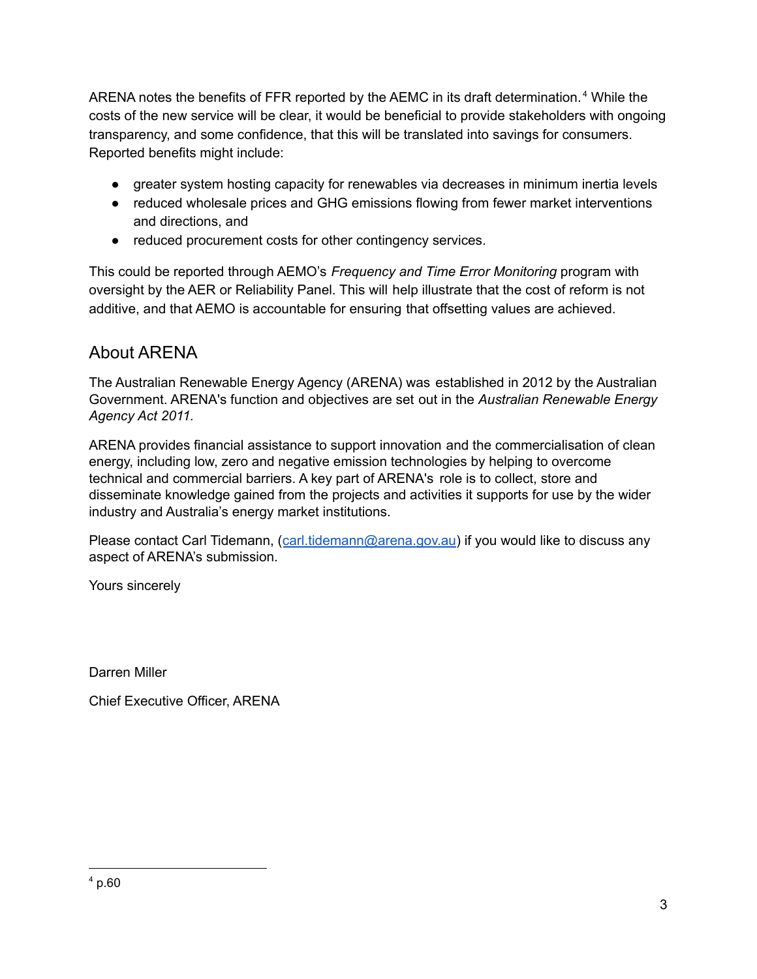ARENA notes the benefits of FFR reported by the AEMC in its draft determination. $4$  While the costs of the new service will be clear, it would be beneficial to provide stakeholders with ongoing transparency, and some confidence, that this will be translated into savings for consumers. Reported benefits might include:

- greater system hosting capacity for renewables via decreases in minimum inertia levels
- reduced wholesale prices and GHG emissions flowing from fewer market interventions and directions, and
- reduced procurement costs for other contingency services.

This could be reported through AEMO's *Frequency and Time Error Monitoring* program with oversight by the AER or Reliability Panel. This will help illustrate that the cost of reform is not additive, and that AEMO is accountable for ensuring that offsetting values are achieved.

# About ARENA

The Australian Renewable Energy Agency (ARENA) was established in 2012 by the Australian Government. ARENA's function and objectives are set out in the *Australian Renewable Energy Agency Act 2011.*

ARENA provides financial assistance to support innovation and the commercialisation of clean energy, including low, zero and negative emission technologies by helping to overcome technical and commercial barriers. A key part of ARENA's role is to collect, store and disseminate knowledge gained from the projects and activities it supports for use by the wider industry and Australia's energy market institutions.

Please contact Carl Tidemann, ([carl.tidemann@arena.gov.au](mailto:carl.tidemann@arena.gov.au)) if you would like to discuss any aspect of ARENA's submission.

Yours sincerely

Darren Miller

Chief Executive Officer, ARENA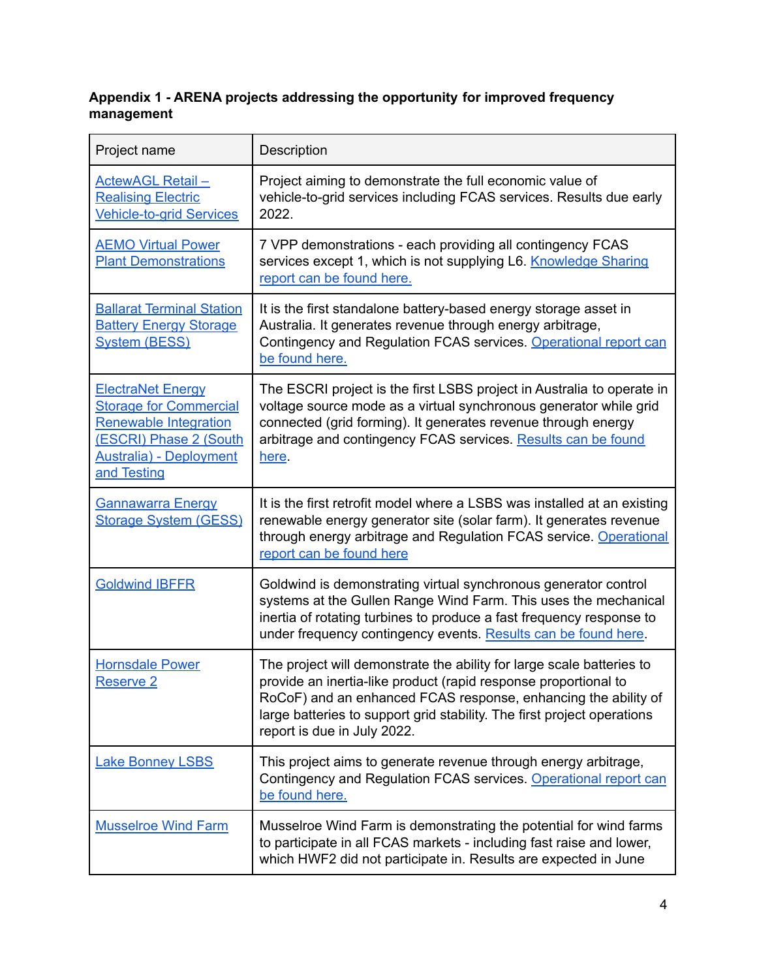## **Appendix 1 - ARENA projects addressing the opportunity for improved frequency management**

| Project name                                                                                                                                                          | Description                                                                                                                                                                                                                                                                                                          |
|-----------------------------------------------------------------------------------------------------------------------------------------------------------------------|----------------------------------------------------------------------------------------------------------------------------------------------------------------------------------------------------------------------------------------------------------------------------------------------------------------------|
| <b>ActewAGL Retail -</b><br><b>Realising Electric</b><br><b>Vehicle-to-grid Services</b>                                                                              | Project aiming to demonstrate the full economic value of<br>vehicle-to-grid services including FCAS services. Results due early<br>2022.                                                                                                                                                                             |
| <b>AEMO Virtual Power</b><br><b>Plant Demonstrations</b>                                                                                                              | 7 VPP demonstrations - each providing all contingency FCAS<br>services except 1, which is not supplying L6. Knowledge Sharing<br>report can be found here.                                                                                                                                                           |
| <b>Ballarat Terminal Station</b><br><b>Battery Energy Storage</b><br><b>System (BESS)</b>                                                                             | It is the first standalone battery-based energy storage asset in<br>Australia. It generates revenue through energy arbitrage,<br>Contingency and Regulation FCAS services. Operational report can<br>be found here.                                                                                                  |
| <b>ElectraNet Energy</b><br><b>Storage for Commercial</b><br><b>Renewable Integration</b><br>(ESCRI) Phase 2 (South<br><b>Australia</b> ) - Deployment<br>and Testing | The ESCRI project is the first LSBS project in Australia to operate in<br>voltage source mode as a virtual synchronous generator while grid<br>connected (grid forming). It generates revenue through energy<br>arbitrage and contingency FCAS services. Results can be found<br>here.                               |
| <b>Gannawarra Energy</b><br><b>Storage System (GESS)</b>                                                                                                              | It is the first retrofit model where a LSBS was installed at an existing<br>renewable energy generator site (solar farm). It generates revenue<br>through energy arbitrage and Regulation FCAS service. Operational<br>report can be found here                                                                      |
| <b>Goldwind IBFFR</b>                                                                                                                                                 | Goldwind is demonstrating virtual synchronous generator control<br>systems at the Gullen Range Wind Farm. This uses the mechanical<br>inertia of rotating turbines to produce a fast frequency response to<br>under frequency contingency events. Results can be found here.                                         |
| <b>Hornsdale Power</b><br><b>Reserve 2</b>                                                                                                                            | The project will demonstrate the ability for large scale batteries to<br>provide an inertia-like product (rapid response proportional to<br>RoCoF) and an enhanced FCAS response, enhancing the ability of<br>large batteries to support grid stability. The first project operations<br>report is due in July 2022. |
| <b>Lake Bonney LSBS</b>                                                                                                                                               | This project aims to generate revenue through energy arbitrage,<br>Contingency and Regulation FCAS services. Operational report can<br>be found here.                                                                                                                                                                |
| <b>Musselroe Wind Farm</b>                                                                                                                                            | Musselroe Wind Farm is demonstrating the potential for wind farms<br>to participate in all FCAS markets - including fast raise and lower,<br>which HWF2 did not participate in. Results are expected in June                                                                                                         |